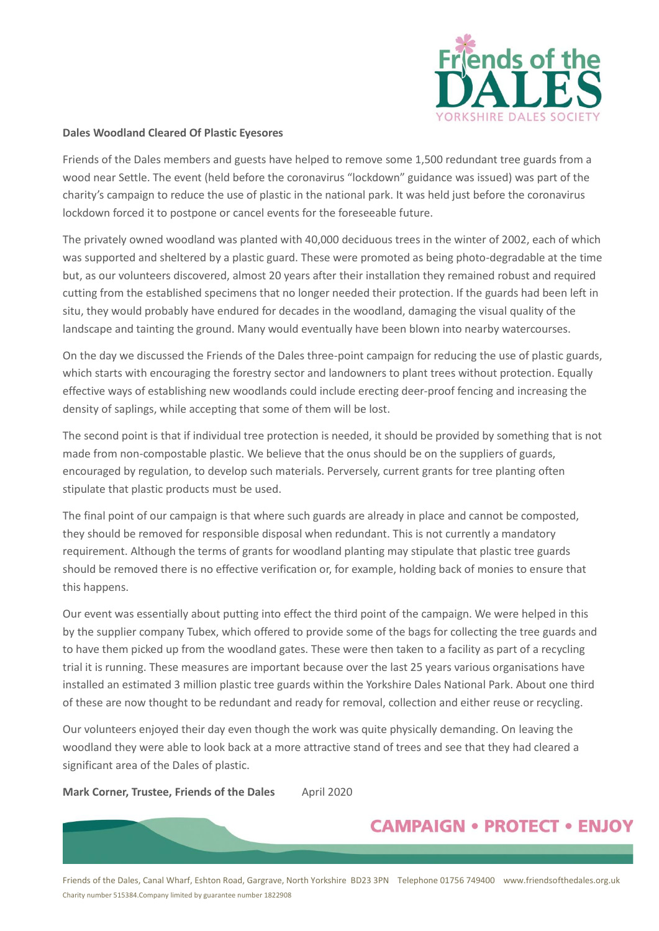

## **Dales Woodland Cleared Of Plastic Eyesores**

Friends of the Dales members and guests have helped to remove some 1,500 redundant tree guards from a wood near Settle. The event (held before the coronavirus "lockdown" guidance was issued) was part of the charity's campaign to reduce the use of plastic in the national park. It was held just before the coronavirus lockdown forced it to postpone or cancel events for the foreseeable future.

The privately owned woodland was planted with 40,000 deciduous trees in the winter of 2002, each of which was supported and sheltered by a plastic guard. These were promoted as being photo-degradable at the time but, as our volunteers discovered, almost 20 years after their installation they remained robust and required cutting from the established specimens that no longer needed their protection. If the guards had been left in situ, they would probably have endured for decades in the woodland, damaging the visual quality of the landscape and tainting the ground. Many would eventually have been blown into nearby watercourses.

On the day we discussed the Friends of the Dales three-point campaign for reducing the use of plastic guards, which starts with encouraging the forestry sector and landowners to plant trees without protection. Equally effective ways of establishing new woodlands could include erecting deer-proof fencing and increasing the density of saplings, while accepting that some of them will be lost.

The second point is that if individual tree protection is needed, it should be provided by something that is not made from non-compostable plastic. We believe that the onus should be on the suppliers of guards, encouraged by regulation, to develop such materials. Perversely, current grants for tree planting often stipulate that plastic products must be used.

The final point of our campaign is that where such guards are already in place and cannot be composted, they should be removed for responsible disposal when redundant. This is not currently a mandatory requirement. Although the terms of grants for woodland planting may stipulate that plastic tree guards should be removed there is no effective verification or, for example, holding back of monies to ensure that this happens.

Our event was essentially about putting into effect the third point of the campaign. We were helped in this by the supplier company Tubex, which offered to provide some of the bags for collecting the tree guards and to have them picked up from the woodland gates. These were then taken to a facility as part of a recycling trial it is running. These measures are important because over the last 25 years various organisations have installed an estimated 3 million plastic tree guards within the Yorkshire Dales National Park. About one third of these are now thought to be redundant and ready for removal, collection and either reuse or recycling.

Our volunteers enjoyed their day even though the work was quite physically demanding. On leaving the woodland they were able to look back at a more attractive stand of trees and see that they had cleared a significant area of the Dales of plastic.

**Mark Corner, Trustee, Friends of the Dales** April 2020

## **CAMPAIGN • PROTECT • ENJOY**

Friends of the Dales, Canal Wharf, Eshton Road, Gargrave, North Yorkshire BD23 3PN Telephone 01756 749400 www.friendsofthedales.org.uk Charity number 515384.Company limited by guarantee number 1822908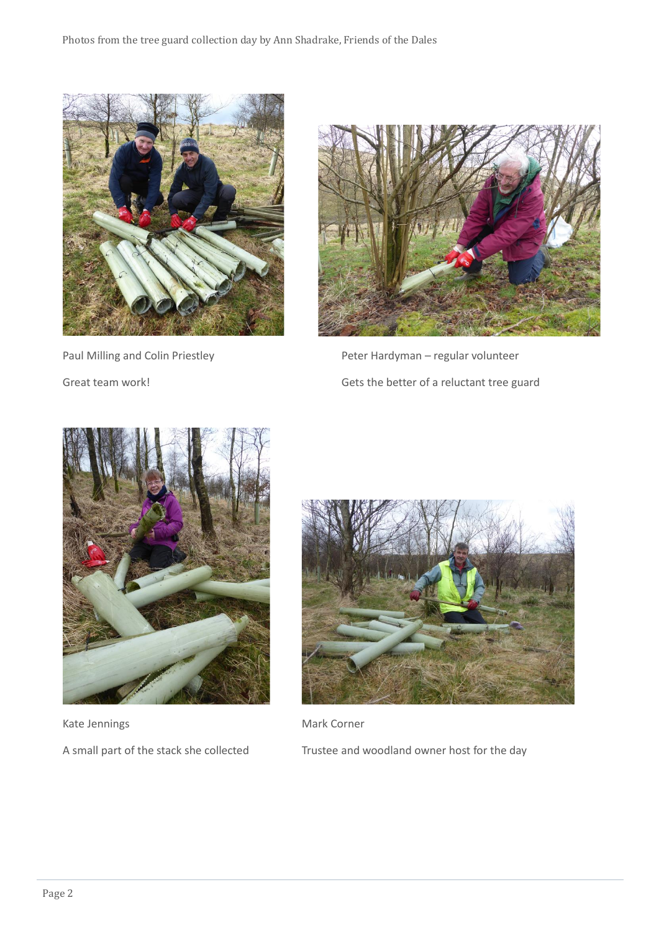



Paul Milling and Colin Priestley **Peter Hardyman** – regular volunteer Great team work! Great team work!



Kate Jennings **Mark Corner** Mark Corner



A small part of the stack she collected Trustee and woodland owner host for the day